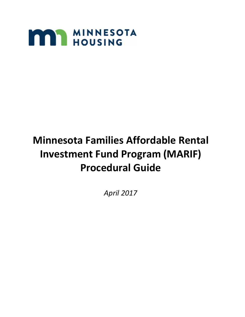

# **Minnesota Families Affordable Rental Investment Fund Program (MARIF) Procedural Guide**

*April 2017*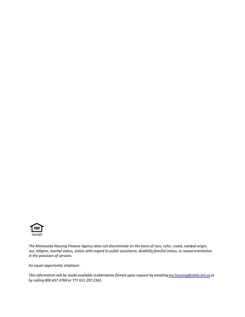

*The Minnesota Housing Finance Agency does not discriminate on the basis of race, color, creed, national origin, sex, religion, marital status, status with regard to public assistance, disability, familial status, or sexual orientation in the provision of services.*

*An equal opportunity employer.*

*This information will be made available in alternative format upon request by emailing [mn.housing@state.mn.us](mailto:mn.housing@state.mn.us) or by calling 800.657.3769 or TTY 651.297.2361.*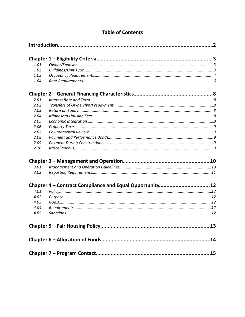| 1.01 |                                                         |  |  |
|------|---------------------------------------------------------|--|--|
| 1.02 |                                                         |  |  |
| 1.03 |                                                         |  |  |
| 1.04 |                                                         |  |  |
|      |                                                         |  |  |
| 2.01 |                                                         |  |  |
| 2.02 |                                                         |  |  |
| 2.03 |                                                         |  |  |
| 2.04 |                                                         |  |  |
| 2.05 |                                                         |  |  |
| 2.06 |                                                         |  |  |
| 2.07 |                                                         |  |  |
| 2.08 |                                                         |  |  |
| 2.09 |                                                         |  |  |
| 2.10 |                                                         |  |  |
|      |                                                         |  |  |
| 3.01 |                                                         |  |  |
| 3.02 |                                                         |  |  |
|      | Chapter 4 - Contract Compliance and Equal Opportunity12 |  |  |
| 4.01 |                                                         |  |  |
| 4.02 |                                                         |  |  |
| 4.03 |                                                         |  |  |
| 4.04 |                                                         |  |  |
| 4.05 |                                                         |  |  |
|      |                                                         |  |  |
|      |                                                         |  |  |
|      |                                                         |  |  |

## **Table of Contents**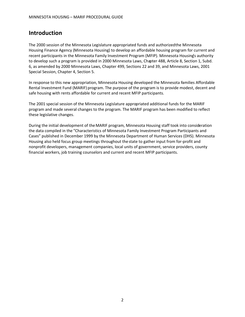## <span id="page-3-0"></span>**Introduction**

The 2000 session of the Minnesota Legislature appropriated funds and authorized the Minnesota Housing Finance Agency (Minnesota Housing) to develop an affordable housing program for current and recent participants in the Minnesota Family Investment Program (MFIP). Minnesota Housing's authority to develop such a program is provided in 2000 Minnesota Laws, Chapter 488, Article 8, Section 1, Subd. 6, as amended by 2000 Minnesota Laws, Chapter 499, Sections 22 and 39, and Minnesota Laws, 2001 Special Session, Chapter 4, Section 5.

In response to this new appropriation, Minnesota Housing developed the Minnesota Families Affordable Rental Investment Fund (MARIF) program. The purpose of the program is to provide modest, decent and safe housing with rents affordable for current and recent MFIP participants.

The 2001 special session of the Minnesota Legislature appropriated additional funds for the MARIF program and made several changes to the program. The MARIF program has been modified to reflect these legislative changes.

During the initial development of the MARIF program, Minnesota Housing staff took into consideration the data compiled in the "Characteristics of Minnesota Family Investment Program Participants and Cases" published in December 1999 by the Minnesota Department of Human Services (DHS). Minnesota Housing also held focus group meetings throughout the state to gather input from for-profit and nonprofit developers, management companies, local units of government, service providers, county financial workers, job training counselors and current and recent MFIP participants.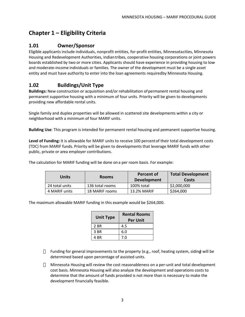## <span id="page-4-0"></span>**Chapter 1 – Eligibility Criteria**

#### <span id="page-4-1"></span>**1.01 Owner/Sponsor**

Eligible applicants include individuals, nonprofit entities, for-profit entities, Minnesota cities, Minnesota Housing and Redevelopment Authorities, Indian tribes, cooperative housing corporations or joint powers boards established by two or more cities. Applicants should have experience in providing housing to lowand moderate-income individuals or families. The owner of the development must be a single asset entity and must have authority to enter into the loan agreements requiredby Minnesota Housing.

## <span id="page-4-2"></span>**1.02 Buildings/Unit Type**

**Buildings:** New construction or acquisition and/or rehabilitation of permanent rental housing and permanent supportive housing with a minimum of four units. Priority will be given to developments providing new affordable rental units.

Single family and duplex properties will be allowed in scattered site developments within a city or neighborhood with a minimum of four MARIF units.

**Building Use**: This program is intended for permanent rental housing and permanent supportive housing.

**Level of Funding:** It is allowable for MARIF units to receive 100 percent of their total development costs (TDC) from MARIF funds. Priority will be given to developments that leverage MARIF funds with other public, private or area employer contributions.

The calculation for MARIF funding will be done on a per room basis. For example:

| Units          | <b>Rooms</b>    | Percent of<br><b>Development</b> | <b>Total Development</b><br>Costs |
|----------------|-----------------|----------------------------------|-----------------------------------|
| 24 total units | 136 total rooms | 100% total                       | \$2,000,000                       |
| 4 MARIF units  | 18 MARIF rooms  | 13.2% MARIF                      | \$264,000                         |

The maximum allowable MARIF funding in this example would be \$264,000.

| <b>Unit Type</b> | <b>Rental Rooms</b><br><b>Per Unit</b> |
|------------------|----------------------------------------|
| 2 BR             | 4.5                                    |
| 3 BR             | 6.0                                    |
| 4 BR             | 7.0                                    |

Funding for general improvements to the property (e.g., roof, heating system, siding) will be determined based upon percentage of assisted units.

Minnesota Housing will review the cost reasonableness on a per-unit and total development cost basis. Minnesota Housing will also analyze the development and operations costs to determine that the amount of funds provided is not more than is necessary to make the development financially feasible.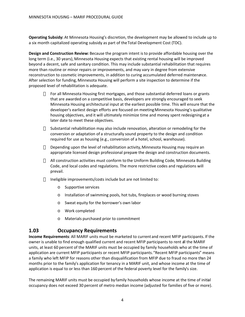**Operating Subsidy:** At Minnesota Housing's discretion, the development may be allowed to include up to a six month capitalized operating subsidy as part of the Total Development Cost (TDC).

**Design and Construction Review:** Because the program intent is to provide affordable housing over the long term (i.e., 30 years), Minnesota Housing expects that existing rental housing will be improved beyond a decent, safe and sanitary condition. This may include substantial rehabilitation that requires more than routine or minor repairs or improvements, and may vary in degree from extensive reconstruction to cosmetic improvements, in addition to curing accumulated deferred maintenance. After selection for funding, Minnesota Housing will perform a site inspection to determine if the proposed level of rehabilitation is adequate.

> For all Minnesota Housing first mortgages, and those substantial deferred loans or grants that are awarded on a competitive basis, developers are strongly encouraged to seek Minnesota Housing architectural input at the earliest possible time. This will ensure that the developer's earliest design efforts are focused on meeting Minnesota Housing's qualitative housing objectives, and it will ultimately minimize time and money spent redesigning at a later date to meet these objectives.

Substantial rehabilitation may also include renovation, alteration or remodeling for the conversion or adaptation of a structurally sound property to the design and condition required for use as housing (e.g., conversion of a hotel, school, warehouse).

Depending upon the level of rehabilitation activity, Minnesota Housing may require an appropriate licensed design professional prepare the design and construction documents.

All construction activities must conform to the Uniform Building Code, Minnesota Building Code, and local codes and regulations. The more restrictive codes and regulations will prevail.

Ineligible improvements/costs include but are not limited to:

- o Supportive services
- o Installation of swimming pools, hot tubs, fireplaces or wood burning stoves
- o Sweat equity for the borrower's own labor
- o Work completed
- <span id="page-5-0"></span>o Materials purchased prior to commitment

#### **1.03 Occupancy Requirements**

**Income Requirements**: All MARIF units must be marketed to current and recent MFIP participants. If the owner is unable to find enough qualified current and recent MFIP participants to rent all the MARIF units, at least 60 percent of the MARIF units must be occupied by family households who at the time of application are current MFIP participants or recent MFIP participants. "Recent MFIP participants" means a family who left MFIP for reasons other than disqualification from MFIP due to fraud no more than 24 months prior to the family's application for tenancy in a MARIF unit, and whose income at the time of application is equal to or less than 160 percent of the federal poverty level for the family's size.

The remaining MARIF units must be occupied by family households whose income at the time of initial occupancy does not exceed 30 percent of metro median income (adjusted for families of five or more).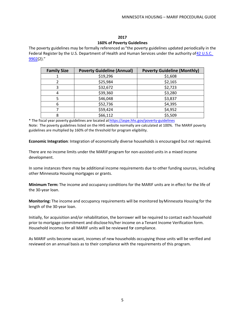#### **2017**

#### **160% of Poverty Guidelines**

The poverty guidelines may be formally referenced as "the poverty guidelines updated periodically in the Federal Register by the U.S. Department of Health and Human Services under the authority of 42 U.S.C. [9902](http://api.fdsys.gov/link?collection=uscode&title=42&year=mostrecent§ion=9902&type=usc&link-type=html)(2)."

| <b>Family Size</b> | <b>Poverty Guideline (Annual)</b> | <b>Poverty Guideline (Monthly)</b> |  |
|--------------------|-----------------------------------|------------------------------------|--|
|                    | \$19,296                          | \$1,608                            |  |
|                    | \$25,984                          | \$2,165                            |  |
| 3                  | \$32,672                          | \$2,723                            |  |
| 4                  | \$39,360                          | \$3,280                            |  |
| 5                  | \$46,048                          | \$3,837                            |  |
| 6                  | \$52,736                          | \$4,395                            |  |
|                    | \$59,424                          | \$4,952                            |  |
| 8                  | \$66,112                          | \$5,509                            |  |

\* The fiscal year poverty guidelines are located at<https://aspe.hhs.gov/poverty-guidelines> Note: The poverty guidelines listed on the HHS website normally are calculated at 100%. The MARIF poverty guidelines are multiplied by 160% of the threshold for program eligibility.

**Economic Integration**: Integration of economically diverse households is encouraged but not required.

There are no income limits under the MARIF program for non-assisted units in a mixed income development.

In some instances there may be additional income requirements due to other funding sources, including other Minnesota Housing mortgages or grants.

**Minimum Term:** The income and occupancy conditions for the MARIF units are in effect for the life of the 30-year loan.

**Monitoring:** The income and occupancy requirements will be monitored by Minnesota Housing for the length of the 30-year loan.

Initially, for acquisition and/or rehabilitation, the borrower will be required to contact each household prior to mortgage commitment and disclose his/her income on a Tenant Income Verification form. Household incomes for all MARIF units will be reviewed for compliance.

As MARIF units become vacant, incomes of new households occupying those units will be verified and reviewed on an annual basis as to their compliance with the requirements of this program.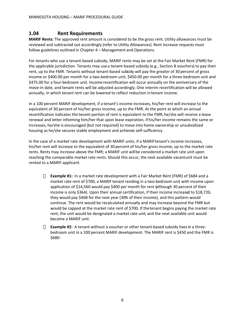#### <span id="page-7-0"></span>**1.04 Rent Requirements**

**MARIF Rents:** The approved rent amount is considered to be the gross rent. Utility allowances must be reviewed and subtracted out accordingly (refer to Utility Allowances). Rent increase requests must follow guidelines outlined in Chapter 4 – Management and Operations.

For tenants who use a tenant-based subsidy, MARIF rents may be set at the Fair Market Rent (FMR) for the applicable jurisdiction. Tenants may use a tenant-based subsidy (e.g., Section 8 vouchers) to pay their rent, up to the FMR. Tenants without tenant-based subsidy will pay the greater of 30 percent of gross income or \$400.00 per month for a two-bedroom unit, \$450.00 per month for a three-bedroom unit and \$475.00 for a four-bedroom unit. Income recertification will occur annually on the anniversary of the move-in date, and tenant rents will be adjusted accordingly. One interim recertification will be allowed annually, in which tenant rent can be lowered to reflect reduction in tenant income.

In a 100 percent MARIF development, if a tenant's income increases, his/her rent will increase to the equivalent of 30 percent of his/her gross income, up to the FMR. At the point at which an annual recertification indicates the tenant portion of rent is equivalent to the FMR, he/she will receive a lease renewal and letter informing him/her that upon lease expiration, if his/her income remains the same or increases, he/she is encouraged (but not required) to move into home ownership or unsubsidized housing as he/she secures stable employment and achieves self-sufficiency.

In the case of a market rate development with MARIF units, if a MARIF tenant's income increases, his/her rent will increase to the equivalent of 30 percent of his/her gross income, up to the market rate rents. Rents may increase above the FMR; a MARIF unit will be considered a market rate unit upon reaching the comparable market rate rents. Should this occur, the next available vacantunit must be rented to a MARIF-applicant.

> **Example #1:** In a market rate development with a Fair Market Rent (FMR) of \$684 and a market rate rent of \$700, a MARIF tenant residing in a two-bedroom unit with income upon application of \$14,560 would pay \$400 per month for rent (although 30 percent of their income is only \$364). Upon their annual certification, if their income increased to \$18,720, they would pay \$468 for the next year (30% of their income), and this pattern would continue. The rent would be recalculated annually and may increase beyond the FMR but would be capped at the market rate rent of \$700. If the tenant begins paying the market rate rent, the unit would be designated a market rate unit, and the next available unit would become a MARIF unit.

**Example #2**: A tenant without a voucher or other tenant-based subsidy lives in a threebedroom unit in a 100 percent MARIF development. The MARIF rent is \$450 and the FMR is \$680: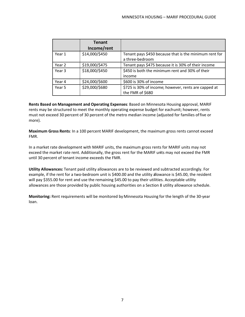|        | <b>Tenant</b><br>Income/rent |                                                                           |
|--------|------------------------------|---------------------------------------------------------------------------|
| Year 1 | \$14,000/\$450               | Tenant pays \$450 because that is the minimum rent for<br>a three-bedroom |
| Year 2 | \$19,000/\$475               | Tenant pays \$475 because it is 30% of their income                       |
| Year 3 | \$18,000/\$450               | \$450 is both the minimum rent and 30% of their<br>income                 |
| Year 4 | \$24,000/\$600               | \$600 is 30% of income                                                    |
| Year 5 | \$29,000/\$680               | \$725 is 30% of income; however, rents are capped at<br>the FMR of \$680  |

**Rents Based on Management and Operating Expenses**: Based on Minnesota Housing approval, MARIF rents may be structured to meet the monthly operating expense budget for eachunit; however, rents must not exceed 30 percent of 30 percent of the metro median income (adjusted for families of five or more).

**Maximum Gross Rents**: In a 100 percent MARIF development, the maximum gross rents cannot exceed FMR.

In a market rate development with MARIF units, the maximum gross rents for MARIF units may not exceed the market rate rent. Additionally, the gross rent for the MARIF units may not exceed the FMR until 30 percent of tenant income exceeds the FMR.

**Utility Allowances:** Tenant paid utility allowances are to be reviewed and subtracted accordingly. For example, if the rent for a two-bedroom unit is \$400.00 and the utility allowance is \$45.00, the resident will pay \$355.00 for rent and use the remaining \$45.00 to pay their utilities. Acceptable utility allowances are those provided by public housing authorities on a Section 8 utility allowance schedule.

**Monitoring:** Rent requirements will be monitored by Minnesota Housing for the length of the 30-year loan.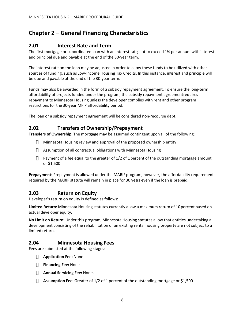## <span id="page-9-0"></span>**Chapter 2 – General Financing Characteristics**

#### <span id="page-9-1"></span>**2.01 Interest Rate and Term**

The first mortgage or subordinated loan with an interest rate, not to exceed 1% per annum with interest and principal due and payable at the end of the 30-year term.

The interest rate on the loan may be adjusted in order to allow these funds to be utilized with other sources of funding, such as Low-Income Housing Tax Credits. In this instance, interest and principle will be due and payable at the end of the 30-year term.

Funds may also be awarded in the form of a subsidy repayment agreement. To ensure the long-term affordability of projects funded under the program, the subsidy repayment agreement requires repayment to Minnesota Housing unless the developer complies with rent and other program restrictions for the 30-year MFIP affordability period.

The loan or a subsidy repayment agreement will be considered non-recourse debt.

#### **2.02 Transfers of Ownership/Prepayment**

**Transfers of Ownership**: The mortgage may be assumed contingent upon all of the following:

<span id="page-9-2"></span>Minnesota Housing review and approval of the proposed ownership entity

Assumption of all contractual obligations with Minnesota Housing

Payment of a fee equal to the greater of 1/2 of 1 percent of the outstanding mortgage amount or \$1,500

**Prepayment**: Prepayment is allowed under the MARIF program; however, the affordability requirements required by the MARIF statute will remain in place for 30 years even if the loan is prepaid.

#### <span id="page-9-3"></span>**2.03 Return on Equity**

Developer's return on equity is defined as follows:

**Limited Return**: Minnesota Housing statutes currently allow a maximum return of 10 percent based on actual developer equity.

**No Limit on Return:** Under this program, Minnesota Housing statutes allow that entities undertaking a development consisting of the rehabilitation of an existing rental housing property are not subject to a limited return.

#### **2.04 Minnesota Housing Fees**

Fees are submitted at the following stages:

<span id="page-9-4"></span>**Application Fee:** None.

**Financing Fee:** None

**Annual Servicing Fee:** None.

**Assumption Fee:** Greater of 1/2 of 1 percent of the outstanding mortgage or \$1,500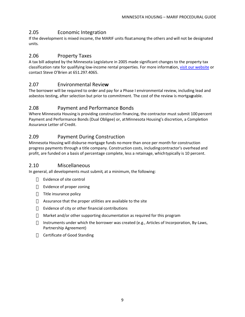#### <span id="page-10-0"></span>2.05 Economic Integration

If the development is mixed income, the MARIF units float among the others and will not be designated units*.*

#### <span id="page-10-1"></span>2.06 Property Taxes

A tax bill adopted by the Minnesota Legislature in 2005 made significant changes to the property tax classification rate for qualifying low-income rental properties. For more information, [visit our](http://www.mnhousing.gov/wcs/Satellite?c=Page&cid=1364120490987&pagename=External%2FPage%2FEXTStandardLayout) [website](http://www.mnhousing.gov/wcs/Satellite?c=Page&cid=1364120490987&pagename=External%2FPage%2FEXTStandardLayout) or contact Steve O'Brien at 651.297.4065.

#### <span id="page-10-2"></span>2.07 Environmental Revie**w**

The borrower will be required to order and pay for a Phase I environmental review, including lead and asbestos testing, after selection but prior to commitment. The cost of the review is mortgageable.

#### <span id="page-10-3"></span>2.08 Payment and Performance Bonds

Where Minnesota Housing is providing construction financing, the contractor must submit 100 percent Payment and Performance Bonds (Dual Obligee) or, at Minnesota Housing's discretion, a Completion Assurance Letter of Credit.

#### <span id="page-10-4"></span>2.09 Payment During Construction

Minnesota Housing will disburse mortgage funds no more than once per month for construction progress payments through a title company. Construction costs, including contractor's overhead and profit, are funded on a basis of percentage complete, less a retainage, which typically is 10 percent.

#### 2.10 Miscellaneous

In general, all developments must submit, at a minimum, the following:

<span id="page-10-5"></span>Evidence of site control

Evidence of proper zoning

Title insurance policy

Assurance that the proper utilities are available to the site

Evidence of city or other financial contributions

Market and/or other supporting documentation as required for this program

Instruments under which the borrower was created (e.g., Articles of Incorporation, By-Laws, Partnership Agreement)

Certificate of Good Standing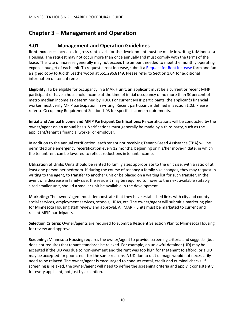## <span id="page-11-0"></span>**Chapter 3 – Management and Operation**

#### <span id="page-11-1"></span>**3.01 Management and Operation Guidelines**

**Rent Increases**: Increases in gross rent levels for the development must be made in writing to Minnesota Housing. The request may not occur more than once annually and must comply with the terms of the lease. The rate of increase generally may not exceed the amount needed to meet the monthly operating expense budget of each unit. To request a rent increase, submit a [Request for Rent](http://www.mnhousing.gov/get/MHFA_1020356) [Increase](http://www.mnhousing.gov/get/MHFA_1020356) form and fax a signed copy to Judith Leatherwood at 651.296.8149. Please refer to Section 1.04 for additional information on tenant rents.

**Eligibility:** To be eligible for occupancy in a MARIF unit, an applicant must be a current or recent MFIP participant or have a household income at the time of initial occupancy of no more than 30 percent of metro median income as determined by HUD. For current MFIP participants, the applicant's financial worker must verify MFIP participation in writing. Recent participant is defined in Section 1.03. Please refer to Occupancy Requirement Section 1.03 for specific income requirements.

**Initial and Annual Income and MFIP Participant Certifications:** Re-certifications will be conducted by the owner/agent on an annual basis. Verifications must generally be made by a third party, such as the applicant/tenant's financial worker or employer.

In addition to the annual certification, each tenant not receiving Tenant-Based Assistance (TBA) will be permitted one emergency recertification every 12 months, beginning on his/her move-in date, in which the tenant rent can be lowered to reflect reductions in tenant income.

**Utilization of Units:** Units should be rented to family sizes appropriate to the unit size, with a ratio of at least one person per bedroom. If during the course of tenancy a family size changes, they may request in writing to the agent, to transfer to another unit or be placed on a waiting list for such transfer. In the event of a decrease in family size, the resident may be required to move to the next available suitably sized smaller unit, should a smaller unit be available in the development.

**Marketing:** The owner/agent must demonstrate that they have established links with city and county social services, employment services, schools, HRAs, etc. The owner/agent will submit a marketing plan for Minnesota Housing staff review and approval. All MARIF units must be marketed to current and recent MFIP participants.

**Selection Criteria:** Owner/agents are required to submit a Resident Selection Plan to Minnesota Housing for review and approval.

**Screening:** Minnesota Housing requires the owner/agent to provide screening criteria and suggests (but does not require) that tenant standards be relaxed. For example, an unlawful detainer (UD) may be accepted if the UD was due to non-payment and the rent was too high for the tenant to afford, or a UD may be accepted for poor credit for the same reasons. A UD due to unit damage would not necessarily need to be relaxed. The owner/agent is encouraged to conduct rental, credit and criminal checks. If screening is relaxed, the owner/agent will need to define the screening criteria and apply it consistently for every applicant, not just by exception.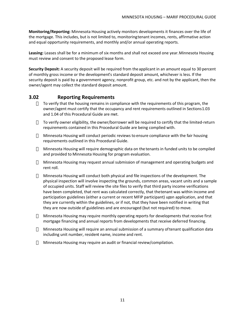**Monitoring/Reporting:** Minnesota Housing actively monitors developments it finances over the life of the mortgage. This includes, but is not limited to, monitoring tenant incomes, rents, affirmative action and equal opportunity requirements, and monthly and/or annual operating reports.

**Leasing:** Leases shall be for a minimum of six months and shall not exceed one year. Minnesota Housing must review and consent to the proposed lease form.

**Security Deposit:** A security deposit will be required from the applicant in an amount equal to 30 percent of monthly gross income or the development's standard deposit amount, whichever is less. If the security deposit is paid by a government agency, nonprofit group, etc. and not by the applicant, then the owner/agent may collect the standard deposit amount.

#### **3.02 Reporting Requirements**

<span id="page-12-0"></span>To verify that the housing remains in compliance with the requirements of this program, the owner/agent must certify that the occupancy and rent requirements outlined in Sections 1.03 and 1.04 of this Procedural Guide are met.

To verify owner eligibility, the owner/borrower will be required to certify that the limited-return requirements contained in this Procedural Guide are being complied with.

Minnesota Housing will conduct periodic reviews to ensure compliance with the fair housing requirements outlined in this Procedural Guide.

Minnesota Housing will require demographic data on the tenants in funded units to be compiled and provided to Minnesota Housing for program evaluation.

Minnesota Housing may request annual submission of management and operating budgets and rent roll.

Minnesota Housing will conduct both physical and file inspections of the development. The physical inspection will involve inspecting the grounds, common areas, vacant units and a sample of occupied units. Staff will review the site files to verify that third party income verifications have been completed, that rent was calculated correctly, that the tenant was within income and participation guidelines (either a current or recent MFIP participant) upon application, and that they are currently within the guidelines, or if not, that they have been notified in writing that they are now outside of guidelines and are encouraged (but not required) to move.

Minnesota Housing may require monthly operating reports for developments that receive first mortgage financing and annual reports from developments that receive deferred financing.

Minnesota Housing will require an annual submission of a summary of tenant qualification data including unit number, resident name, income and rent.

Minnesota Housing may require an audit or financial review/compilation.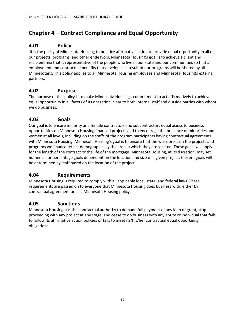## <span id="page-13-0"></span>**Chapter 4 – Contract Compliance and Equal Opportunity**

### **4.01 Policy**

 It is the policy of Minnesota Housing to practice affirmative action to provide equal opportunity in all of our projects, programs, and other endeavors. Minnesota Housing's goal is to achieve a client and recipient mix that is representative of the people who live in our state and our communities so that all employment and contractual benefits that develop as a result of our programs will be shared by all Minnesotans. This policy applies to all Minnesota Housing employees and Minnesota Housing's external partners.

#### <span id="page-13-1"></span>**4.02 Purpose**

The purpose of this policy is to make Minnesota Housing's commitment to act affirmatively to achieve equal opportunity in all facets of its operation, clear to both internal staff and outside parties with whom we do business.

#### <span id="page-13-2"></span>**4.03 Goals**

Our goal is to ensure minority and female contractors and subcontractors equal acœss to business opportunities on Minnesota Housing financed projects and to encourage the presence of minorities and women at all levels, including on the staffs of the program participants having contractual agreements with Minnesota Housing. Minnesota Housing's goal is to ensure that the workforces on the projects and programs we finance reflect demographically the area in which they are located. These goals will apply for the length of the contract or the life of the mortgage. Minnesota Housing, at its dscretion, may set numerical or percentage goals dependent on the location and size of a given project. Current goals will be determined by staff based on the location of the project.

#### <span id="page-13-3"></span>**4.04 Requirements**

Minnesota Housing is required to comply with all applicable local, state, and federal laws. These requirements are passed on to everyone that Minnesota Housing does business with, either by contractual agreement or as a Minnesota Housing policy.

#### <span id="page-13-4"></span>**4.05 Sanctions**

Minnesota Housing has the contractual authority to demand full payment of any loan or grant, stop proceeding with any project at any stage, and cease to do business with any entity or individual that fails to follow its affirmative action policies or fails to meet its/his/her contractual equal opportunity obligations.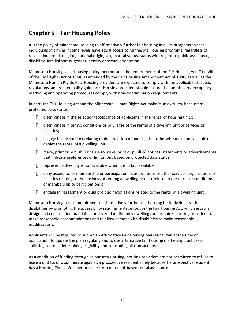## **Chapter 5 – Fair Housing Policy**

It is the policy of Minnesota Housing to affirmatively further fair housing in all its programs so that individuals of similar income levels have equal access to Minnesota Housing programs, regardless of race, color, creed, religion, national origin, sex, marital status, status with regard to public assistance, disability, familial status, gender identity or sexual orientation.

Minnesota Housing's fair housing policy incorporates the requirements of the Fair Housing Act, Title VIII of the Civil Rights Act of 1968, as amended by the Fair Housing Amendment Act of 1988, as well as the Minnesota Human Rights Act. Housing providers are expected to comply with the applicable statutes, regulations, and related policy guidance. Housing providers should ensure that admissions, occupancy, marketing and operating procedures comply with non-discrimination requirements.

In part, the Fair Housing Act and the Minnesota Human Rights Act make it unlawful to, because of protected class status:

discriminate in the selection/acceptance of applicants in the rental of housing units;

discriminate in terms, conditions or privileges of the rental of a dwelling unit or services or facilities;

engage in any conduct relating to the provision of housing that otherwise make unavailable or denies the rental of a dwelling unit;

make, print or publish (or cause to make, print or publish) notices, statements or advertisements that indicate preferences or limitations based on protected class status;

represent a dwelling is not available when it is in fact available;

deny access to, or membership or participation in, associations or other services organizations or facilities relating to the business of renting a dwelling or discriminate in the terms or conditions of membership or participation; or

engage in harassment or quid pro quo negotiations related to the rental of a dwelling unit.

Minnesota Housing has a commitment to affirmatively further fair housing for individuals with disabilities by promoting the accessibility requirements set out in the Fair Housing Act, which establish design and construction mandates for covered multifamily dwellings and requires housing providers to make reasonable accommodations and to allow persons with disabilities to make reasonable modifications.

Applicants will be required to submit an Affirmative Fair Housing Marketing Plan at the time of application, to update the plan regularly and to use affirmative fair housing marketing practices in soliciting renters, determining eligibility and concluding all transactions.

As a condition of funding through Minnesota Housing, housing providers are not permitted to refuse to lease a unit to, or discriminate against, a prospective resident solely because the prospective resident has a Housing Choice Voucher or other form of tenant-based rental assistance.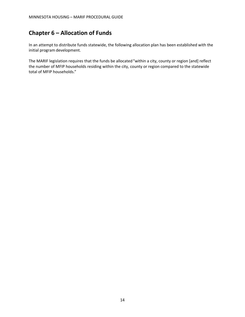## <span id="page-15-0"></span>**Chapter 6 – Allocation of Funds**

In an attempt to distribute funds statewide, the following allocation plan has been established with the initial program development.

The MARIF legislation requires that the funds be allocated "within a city, county or region [and] reflect the number of MFIP households residing within the city, county or region compared to the statewide total of MFIP households."